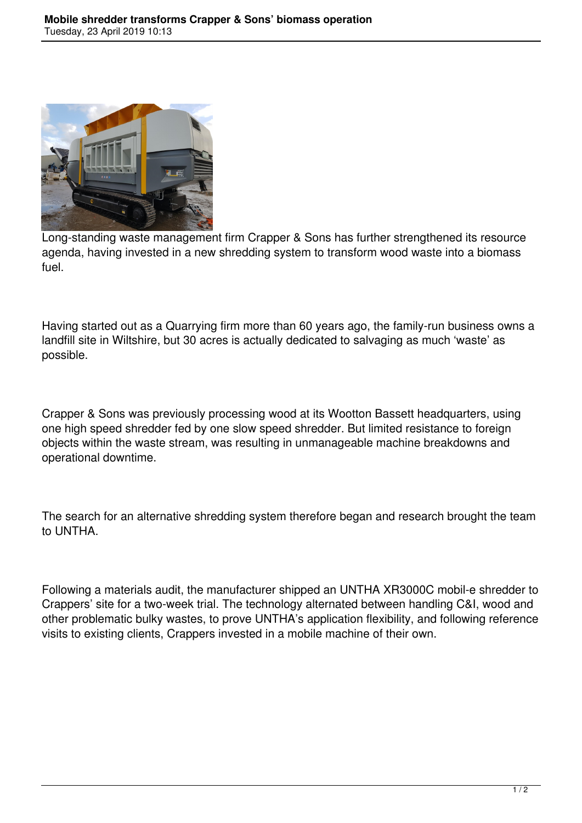

Long-standing waste management firm Crapper & Sons has further strengthened its resource agenda, having invested in a new shredding system to transform wood waste into a biomass fuel.

Having started out as a Quarrying firm more than 60 years ago, the family-run business owns a landfill site in Wiltshire, but 30 acres is actually dedicated to salvaging as much 'waste' as possible.

Crapper & Sons was previously processing wood at its Wootton Bassett headquarters, using one high speed shredder fed by one slow speed shredder. But limited resistance to foreign objects within the waste stream, was resulting in unmanageable machine breakdowns and operational downtime.

The search for an alternative shredding system therefore began and research brought the team to UNTHA.

Following a materials audit, the manufacturer shipped an UNTHA XR3000C mobil-e shredder to Crappers' site for a two-week trial. The technology alternated between handling C&I, wood and other problematic bulky wastes, to prove UNTHA's application flexibility, and following reference visits to existing clients, Crappers invested in a mobile machine of their own.